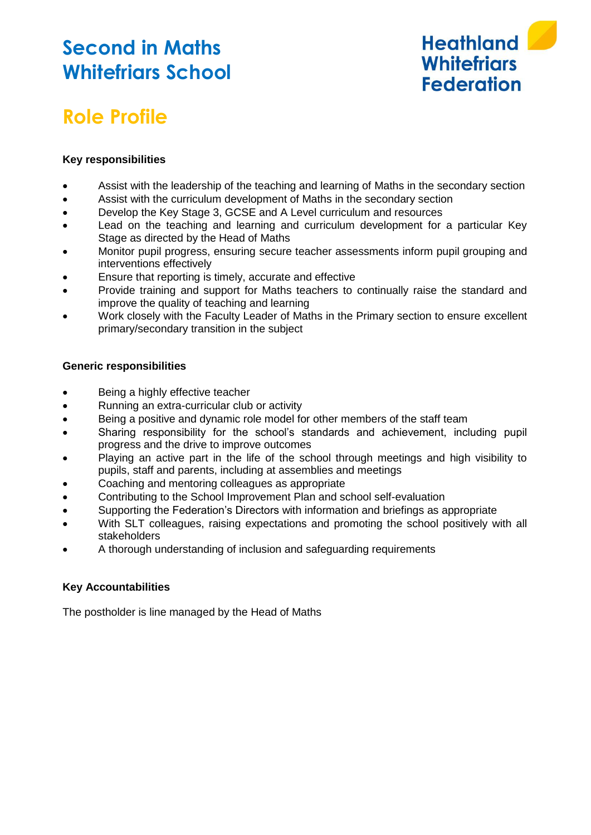## **Second in Maths Whitefriars School**



# **Role Profile**

### **Key responsibilities**

- Assist with the leadership of the teaching and learning of Maths in the secondary section
- Assist with the curriculum development of Maths in the secondary section
- Develop the Key Stage 3, GCSE and A Level curriculum and resources
- Lead on the teaching and learning and curriculum development for a particular Key Stage as directed by the Head of Maths
- Monitor pupil progress, ensuring secure teacher assessments inform pupil grouping and interventions effectively
- Ensure that reporting is timely, accurate and effective
- Provide training and support for Maths teachers to continually raise the standard and improve the quality of teaching and learning
- Work closely with the Faculty Leader of Maths in the Primary section to ensure excellent primary/secondary transition in the subject

#### **Generic responsibilities**

- Being a highly effective teacher
- Running an extra-curricular club or activity
- Being a positive and dynamic role model for other members of the staff team
- Sharing responsibility for the school's standards and achievement, including pupil progress and the drive to improve outcomes
- Playing an active part in the life of the school through meetings and high visibility to pupils, staff and parents, including at assemblies and meetings
- Coaching and mentoring colleagues as appropriate
- Contributing to the School Improvement Plan and school self-evaluation
- Supporting the Federation's Directors with information and briefings as appropriate
- With SLT colleagues, raising expectations and promoting the school positively with all stakeholders
- A thorough understanding of inclusion and safeguarding requirements

#### **Key Accountabilities**

The postholder is line managed by the Head of Maths